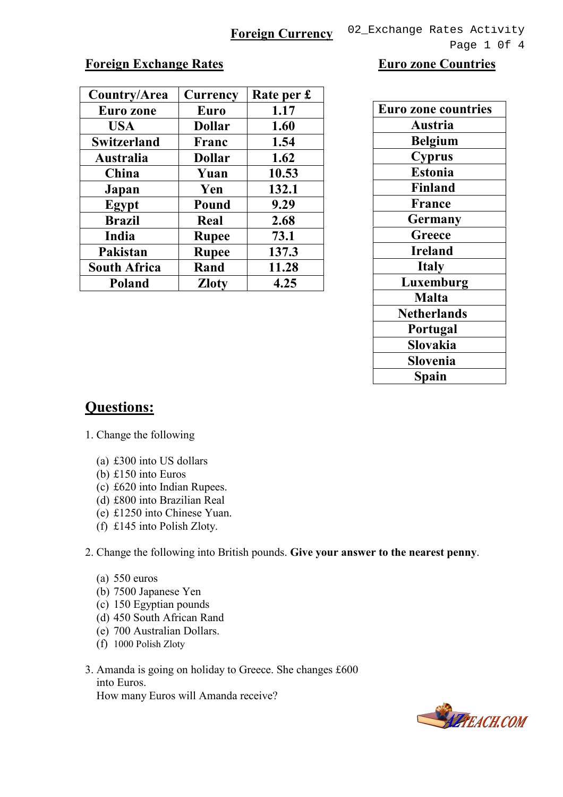Page 1 0f 4

## **Foreign Exchange Rates Euro zone Countries**

| Country/Area        | <b>Currency</b> | Rate per £ |  |
|---------------------|-----------------|------------|--|
| <b>Euro zone</b>    | Euro            | 1.17       |  |
| <b>USA</b>          | <b>Dollar</b>   | 1.60       |  |
| <b>Switzerland</b>  | Franc           | 1.54       |  |
| Australia           | <b>Dollar</b>   | 1.62       |  |
| China               | Yuan            | 10.53      |  |
| Japan               | Yen             | 132.1      |  |
| Egypt               | Pound           | 9.29       |  |
| <b>Brazil</b>       | Real            | 2.68       |  |
| India               | <b>Rupee</b>    | 73.1       |  |
| Pakistan            | <b>Rupee</b>    | 137.3      |  |
| <b>South Africa</b> | Rand            | 11.28      |  |
| Poland              | <b>Zloty</b>    | 4.25       |  |

| <b>Euro zone countries</b> |  |  |  |
|----------------------------|--|--|--|
| Austria                    |  |  |  |
| <b>Belgium</b>             |  |  |  |
| <b>Cyprus</b>              |  |  |  |
| <b>Estonia</b>             |  |  |  |
| <b>Finland</b>             |  |  |  |
| <b>France</b>              |  |  |  |
| Germany                    |  |  |  |
| Greece                     |  |  |  |
| <b>Ireland</b>             |  |  |  |
| <b>Italy</b>               |  |  |  |
| Luxemburg                  |  |  |  |
| <b>Malta</b>               |  |  |  |
| <b>Netherlands</b>         |  |  |  |
| Portugal                   |  |  |  |
| Slovakia                   |  |  |  |
| Slovenia                   |  |  |  |
| Spain                      |  |  |  |

## Questions:

- 1. Change the following
	- (a) £300 into US dollars
	- (b) £150 into Euros
	- (c) £620 into Indian Rupees.
	- (d) £800 into Brazilian Real
	- (e) £1250 into Chinese Yuan.
	- (f) £145 into Polish Zloty.

2. Change the following into British pounds. Give your answer to the nearest penny.

- (a) 550 euros
- (b) 7500 Japanese Yen
- (c) 150 Egyptian pounds
- (d) 450 South African Rand
- (e) 700 Australian Dollars.
- (f) 1000 Polish Zloty
- 3. Amanda is going on holiday to Greece. She changes £600 into Euros. How many Euros will Amanda receive?

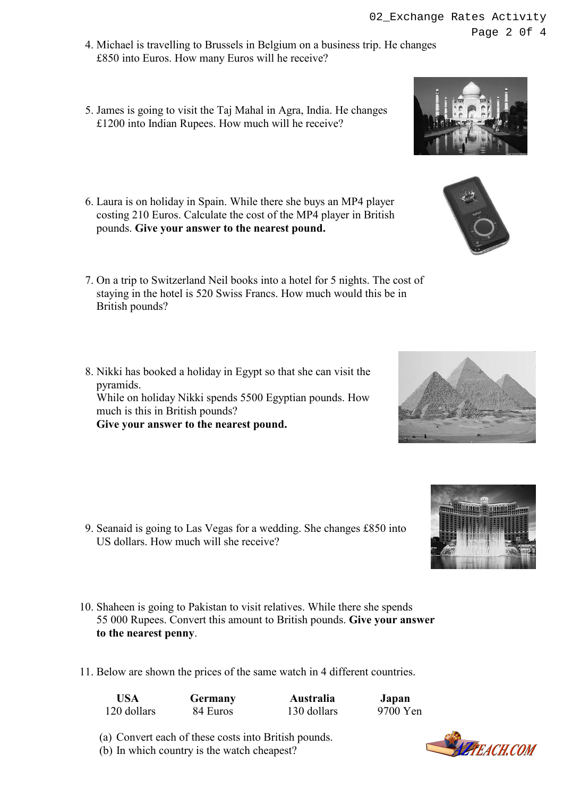- 02\_Exchange Rates Activity Page 2 0f 4
- 4. Michael is travelling to Brussels in Belgium on a business trip. He changes £850 into Euros. How many Euros will he receive?
- 5. James is going to visit the Taj Mahal in Agra, India. He changes £1200 into Indian Rupees. How much will he receive?
- 6. Laura is on holiday in Spain. While there she buys an MP4 player costing 210 Euros. Calculate the cost of the MP4 player in British pounds. Give your answer to the nearest pound.
- 7. On a trip to Switzerland Neil books into a hotel for 5 nights. The cost of staying in the hotel is 520 Swiss Francs. How much would this be in British pounds?
- 8. Nikki has booked a holiday in Egypt so that she can visit the pyramids. While on holiday Nikki spends 5500 Egyptian pounds. How much is this in British pounds? Give your answer to the nearest pound.

- 9. Seanaid is going to Las Vegas for a wedding. She changes £850 into US dollars. How much will she receive?
- 10. Shaheen is going to Pakistan to visit relatives. While there she spends 55 000 Rupees. Convert this amount to British pounds. Give your answer to the nearest penny.
- 11. Below are shown the prices of the same watch in 4 different countries.

| <b>USA</b>  | <b>Germany</b> | Australia   | Japan    |
|-------------|----------------|-------------|----------|
| 120 dollars | 84 Euros       | 130 dollars | 9700 Yen |

- (a) Convert each of these costs into British pounds.
- (b) In which country is the watch cheapest?







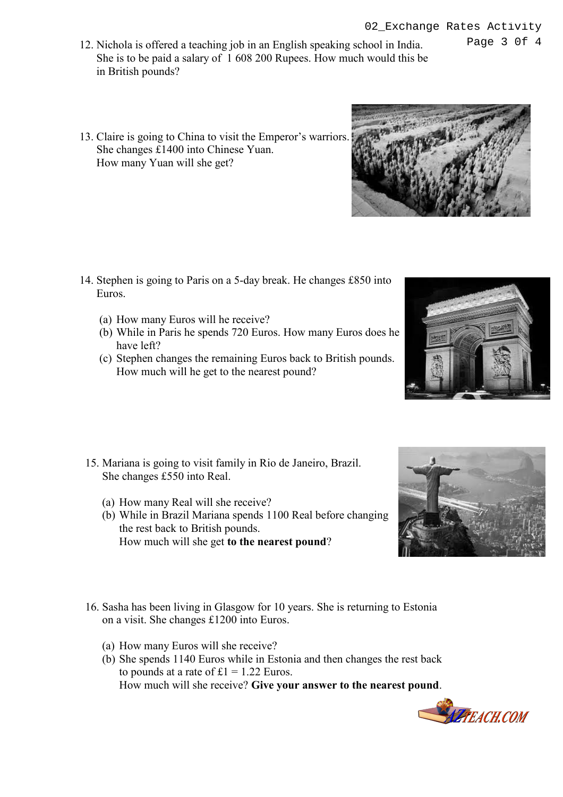Page 3 0f 4

- 12. Nichola is offered a teaching job in an English speaking school in India. She is to be paid a salary of 1 608 200 Rupees. How much would this be in British pounds?
- 13. Claire is going to China to visit the Emperor's warriors. She changes £1400 into Chinese Yuan. How many Yuan will she get?

- 14. Stephen is going to Paris on a 5-day break. He changes £850 into Euros.
	- (a) How many Euros will he receive?
	- (b) While in Paris he spends 720 Euros. How many Euros does he have left?
	- (c) Stephen changes the remaining Euros back to British pounds. How much will he get to the nearest pound?
	- 15. Mariana is going to visit family in Rio de Janeiro, Brazil. She changes £550 into Real.
		- (a) How many Real will she receive?
		- (b) While in Brazil Mariana spends 1100 Real before changing the rest back to British pounds. How much will she get to the nearest pound?
- 16. Sasha has been living in Glasgow for 10 years. She is returning to Estonia on a visit. She changes £1200 into Euros.
	- (a) How many Euros will she receive?
	- (b) She spends 1140 Euros while in Estonia and then changes the rest back to pounds at a rate of  $£1 = 1.22$  Euros. How much will she receive? Give your answer to the nearest pound.